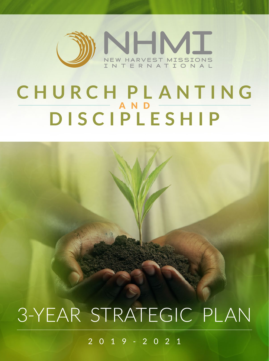

## **CHURCH PL ANTING**  $-$  AND  $-$ **DISCIPLESHIP**

# 3-YEAR STRATEGIC PLAN

2 0 1 9 - 2 0 2 1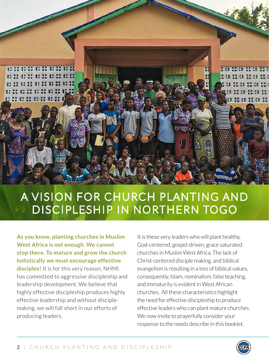

## A VISION FOR CHURCH PLANTING AND DISCIPLESHIP IN NORTHERN TOGO

**As you know, planting churches in Muslim West Africa is not enough. We cannot stop there. To mature and grow the church holistically we must encourage effective disciples!** It is for this very reason, NHMI has committed to aggressive discipleship and leadership development. We believe that highly effective discipleship produces highly effective leadership and without disciplemaking, we will fall short in our efforts of producing leaders.

It is these very leaders who will plant healthy, God-centered, gospel-driven, grace saturated churches in Muslim West Africa. The lack of Christ-centered disciple making, and biblical evangelism is resulting in a loss of biblical values, consequently, Islam, nominalism, false teaching, and immaturity is evident in West African churches. All these characteristics highlight the need for effective discipleship to produce effective leaders who can plant mature churches. We now invite to prayerfully consider your response to the needs describe in this booklet.

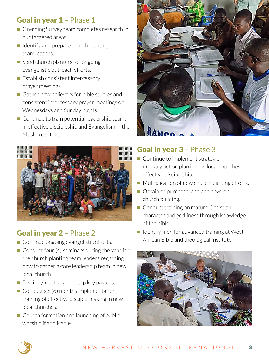## Goal in year 1 - Phase 1

- On-going Survey team completes research in our targeted areas.
- $\blacksquare$  Identify and prepare church planting team leaders.
- $\blacksquare$  Send church planters for ongoing evangelistic outreach efforts.
- $\blacksquare$  Establish consistent intercessory prayer meetings.
- Gather new believers for bible studies and consistent intercessory prayer meetings on Wednesdays and Sunday nights.
- $\blacksquare$  Continue to train potential leadership teams in effective discipleship and Evangelism in the Muslim context.



## Goal in year 2 – Phase 2

- Continue ongoing evangelistic efforts.
- $\blacksquare$  Conduct four (4) seminars during the year for the church planting team leaders regarding how to gather a core leadership team in new local church.
- $\blacksquare$  Disciple/mentor, and equip key pastors.
- $\Box$  Conduct six (6) months implementation training of effective disciple-making in new local churches.
- $\blacksquare$  Church formation and launching of public worship if applicable.



### Goal in year 3 – Phase 3

- $\blacksquare$  Continue to implement strategic ministry action plan in new local churches effective discipleship.
- $\blacksquare$  Multiplication of new church planting efforts.
- Obtain or purchase land and develop church building.
- Conduct training on mature Christian character and godliness through knowledge of the bible.
- $\blacksquare$  Identify men for advanced training at West African Bible and theological Institute.